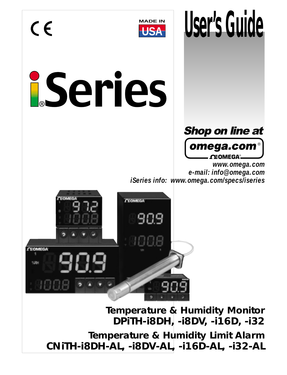

**WADE IN USER'S GUIDE** 

# iSeries



*www.omega.com e-mail: info@omega.com iSeries info: www.omega.com/specs/iseries*



**Temperature & Humidity Monitor DPiTH-i8DH, -i8DV, -i16D, -i32 Temperature & Humidity Limit Alarm CNiTH-i8DH-AL, -i8DV-AL, -i16D-AL, -i32-AL**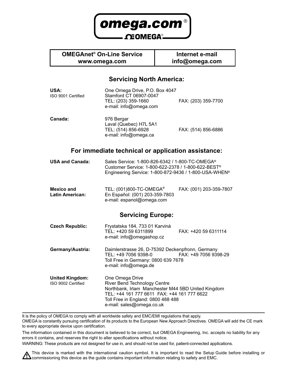

### **OMEGAnet® On-Line Service www.omega.com**

**Internet e-mail info@omega.com**

### **Servicing North America:**

| USA:<br>ISO 9001 Certified                   | One Omega Drive, P.O. Box 4047<br>Stamford CT 06907-0047<br>TEL: (203) 359-1660<br>e-mail: info@omega.com                                                                                                               | FAX: (203) 359-7700     |
|----------------------------------------------|-------------------------------------------------------------------------------------------------------------------------------------------------------------------------------------------------------------------------|-------------------------|
| Canada:                                      | 976 Bergar<br>Laval (Quebec) H7L 5A1<br>TEL: (514) 856-6928<br>e-mail: info@omega.ca                                                                                                                                    | FAX: (514) 856-6886     |
|                                              | For immediate technical or application assistance:                                                                                                                                                                      |                         |
| <b>USA and Canada:</b>                       | Sales Service: 1-800-826-6342 / 1-800-TC-OMEGA <sup>®</sup><br>Customer Service: 1-800-622-2378 / 1-800-622-BEST <sup>®</sup><br>Engineering Service: 1-800-872-9436 / 1-800-USA-WHEN <sup>®</sup>                      |                         |
| <b>Mexico and</b><br><b>Latin American:</b>  | TEL: (001)800-TC-OMEGA <sup>®</sup><br>En Español: (001) 203-359-7803<br>e-mail: espanol@omega.com                                                                                                                      | FAX: (001) 203-359-7807 |
|                                              | <b>Servicing Europe:</b>                                                                                                                                                                                                |                         |
| <b>Czech Republic:</b>                       | Frystatska 184, 733 01 Karviná<br>TEL: +420 59 6311899<br>e-mail: info@omegashop.cz                                                                                                                                     | FAX: +420 59 6311114    |
| Germany/Austria:                             | Daimlerstrasse 26, D-75392 Deckenpfronn, Germany<br>TEL: +49 7056 9398-0<br>Toll Free in Germany: 0800 639 7678<br>e-mail: info@omega.de                                                                                | FAX: +49 7056 9398-29   |
| <b>United Kingdom:</b><br>ISO 9002 Certified | One Omega Drive<br>River Bend Technology Centre<br>Northbank, Irlam Manchester M44 5BD United Kingdom<br>TEL: +44 161 777 6611 FAX: +44 161 777 6622<br>Toll Free in England: 0800 488 488<br>e-mail: sales@omega.co.uk |                         |

It is the policy of OMEGA to comply with all worldwide safety and EMC/EMI regulations that apply. OMEGA is constantly pursuing certification of its products to the European New Approach Directives. OMEGA will add the CE mark to every appropriate device upon certification.

The information contained in this document is believed to be correct, but OMEGA Engineering, Inc. accepts no liability for any errors it contains, and reserves the right to alter specifications without notice.

WARNING: These products are not designed for use in, and should not be used for, patient-connected applications.

This device is marked with the international caution symbol. It is important to read the Setup Guide before installing or<br>Commissioning this device as the quide contains important information relating to safety and EMC.  $\blacktriangle$ commissioning this device as the guide contains important information relating to safety and EMC.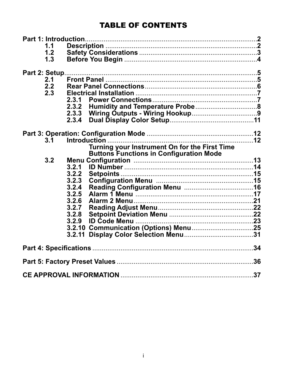### **TABLE OF CONTENTS**

| 1.1               |                                                |  |
|-------------------|------------------------------------------------|--|
| 1.2               |                                                |  |
| 1.3               |                                                |  |
| 2.1<br>2.2<br>2.3 | 2.3.1<br>2.3.2                                 |  |
|                   | 2.3.4                                          |  |
| 3.1               | Turning your Instrument On for the First Time  |  |
| 3.2               | <b>Buttons Functions in Configuration Mode</b> |  |
|                   | 3.2.1                                          |  |
|                   | 3.2.2                                          |  |
|                   | 3.2.3                                          |  |
|                   | 3.2.4                                          |  |
|                   | 3.2.5                                          |  |
|                   | 3.2.6                                          |  |
|                   | 3.2.7                                          |  |
|                   | 3.2.8                                          |  |
|                   | 3.2.9                                          |  |
|                   |                                                |  |
|                   | 3.2.11                                         |  |
|                   |                                                |  |
|                   |                                                |  |
|                   |                                                |  |
|                   |                                                |  |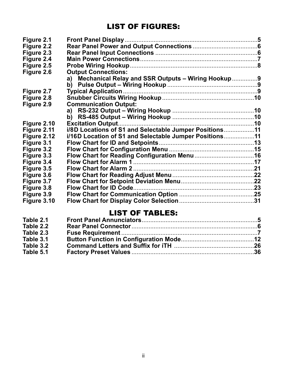### LIST OF FIGURES:

| Figure 2.1  |                                                         |  |
|-------------|---------------------------------------------------------|--|
| Figure 2.2  |                                                         |  |
| Figure 2.3  |                                                         |  |
|             |                                                         |  |
| Figure 2.4  |                                                         |  |
| Figure 2.5  |                                                         |  |
| Figure 2.6  | <b>Output Connections:</b>                              |  |
|             | Mechanical Relay and SSR Outputs - Wiring Hookup9<br>a) |  |
|             |                                                         |  |
| Figure 2.7  |                                                         |  |
| Figure 2.8  |                                                         |  |
| Figure 2.9  | <b>Communication Output:</b>                            |  |
|             |                                                         |  |
|             |                                                         |  |
| Figure 2.10 |                                                         |  |
| Figure 2.11 | i/8D Locations of S1 and Selectable Jumper Positions11  |  |
| Figure 2.12 | i/16D Location of S1 and Selectable Jumper Positions11  |  |
| Figure 3.1  |                                                         |  |
| Figure 3.2  |                                                         |  |
| Figure 3.3  |                                                         |  |
| Figure 3.4  |                                                         |  |
| Figure 3.5  |                                                         |  |
| Figure 3.6  |                                                         |  |
| Figure 3.7  |                                                         |  |
| Figure 3.8  |                                                         |  |
| Figure 3.9  |                                                         |  |
| Figure 3.10 |                                                         |  |
|             |                                                         |  |

### LIST OF TABLES:

| Table 2.1 |  |
|-----------|--|
| Table 2.2 |  |
| Table 2.3 |  |
| Table 3.1 |  |
| Table 3.2 |  |
| Table 5.1 |  |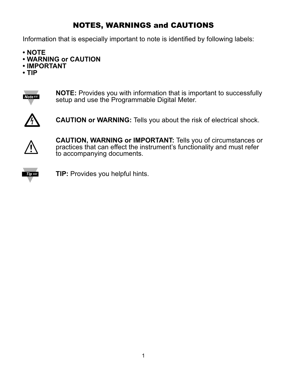## NOTES, WARNINGS and CAUTIONS

Information that is especially important to note is identified by following labels:

- **NOTE**
- **WARNING or CAUTION**
- **IMPORTANT**
- **TIP**



**NOTE:** Provides you with information that is important to successfully setup and use the Programmable Digital Meter.



**CAUTION or WARNING:** Tells you about the risk of electrical shock.



**CAUTION, WARNING or IMPORTANT:** Tells you of circumstances or practices that can effect the instrument's functionality and must refer to accompanying documents.



**TIP:** Provides you helpful hints.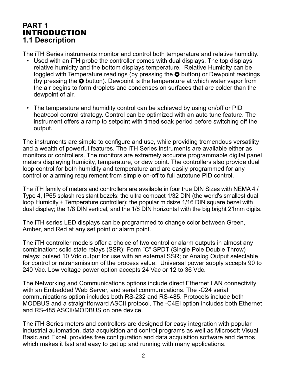### **PART 1** INTRODUCTION **1.1 Description**

The iTH Series instruments monitor and control both temperature and relative humidity.

- Used with an iTH probe the controller comes with dual displays. The top displays relative humidity and the bottom displays temperature. Relative Humidity can be toggled with Temperature readings (by pressing the  $\bullet$  button) or Dewpoint readings (by pressing the  $\bullet$  button). Dewpoint is the temperature at which water vapor from the air begins to form droplets and condenses on surfaces that are colder than the dewpoint of air.
- The temperature and humidity control can be achieved by using on/off or PID heat/cool control strategy. Control can be optimized with an auto tune feature. The instrument offers a ramp to setpoint with timed soak period before switching off the output.

The instruments are simple to configure and use, while providing tremendous versatility and a wealth of powerful features. The iTH Series instruments are available either as monitors or controllers. The monitors are extremely accurate programmable digital panel meters displaying humidity, temperature, or dew point. The controllers also provide dual loop control for both humidity and temperature and are easily programmed for any control or alarming requirement from simple on-off to full autotune PID control.

The iTH family of meters and controllers are available in four true DIN Sizes with NEMA 4 / Type 4, IP65 splash resistant bezels: the ultra compact 1/32 DIN (the world's smallest dual loop Humidity + Temperature controller); the popular midsize 1/16 DIN square bezel with dual display; the 1/8 DIN vertical, and the 1/8 DIN horizontal with the big bright 21mm digits.

The iTH series LED displays can be programmed to change color between Green, Amber, and Red at any set point or alarm point.

The iTH controller models offer a choice of two control or alarm outputs in almost any combination: solid state relays (SSR); Form "C" SPDT (Single Pole Double Throw) relays; pulsed 10 Vdc output for use with an external SSR; or Analog Output selectable for control or retransmission of the process value. Universal power supply accepts 90 to 240 Vac. Low voltage power option accepts 24 Vac or 12 to 36 Vdc.

The Networking and Communications options include direct Ethernet LAN connectivity with an Embedded Web Server, and serial communications. The -C24 serial communications option includes both RS-232 and RS-485. Protocols include both MODBUS and a straightforward ASCII protocol. The -C4EI option includes both Ethernet and RS-485 ASCII/MODBUS on one device.

The iTH Series meters and controllers are designed for easy integration with popular industrial automation, data acquisition and control programs as well as Microsoft Visual Basic and Excel. provides free configuration and data acquisition software and demos which makes it fast and easy to get up and running with many applications.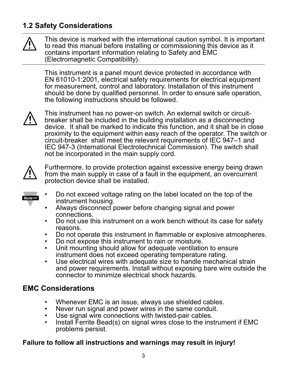### **1.2 Safety Considerations**



This device is marked with the international caution symbol. It is important to read this manual before installing or commissioning this device as it contains important information relating to Safety and EMC (Electromagnetic Compatibility).

This instrument is a panel mount device protected in accordance with EN 61010-1:2001, electrical safety requirements for electrical equipment for measurement, control and laboratory. Installation of this instrument should be done by qualified personnel. In order to ensure safe operation, the following instructions should be followed.



This instrument has no power-on switch. An external switch or circuitbreaker shall be included in the building installation as a disconnecting device. It shall be marked to indicate this function, and it shall be in close proximity to the equipment within easy reach of the operator. The switch or circuit-breaker shall meet the relevant requirements of IEC 947–1 and IEC 947-3 (International Electrotechnical Commission). The switch shall not be incorporated in the main supply cord.



Furthermore, to provide protection against excessive energy being drawn from the main supply in case of a fault in the equipment, an overcurrent protection device shall be installed.



- Do not exceed voltage rating on the label located on the top of the instrument housing.
- Always disconnect power before changing signal and power connections.
- Do not use this instrument on a work bench without its case for safety reasons.
- Do not operate this instrument in flammable or explosive atmospheres.
- Do not expose this instrument to rain or moisture.
- Unit mounting should allow for adequate ventilation to ensure instrument does not exceed operating temperature rating.
- Use electrical wires with adequate size to handle mechanical strain and power requirements. Install without exposing bare wire outside the connector to minimize electrical shock hazards.

### **EMC Considerations**

- Whenever EMC is an issue, always use shielded cables.
- Never run signal and power wires in the same conduit.
- Use signal wire connections with twisted-pair cables.
- Install Ferrite Bead(s) on signal wires close to the instrument if EMC problems persist.

### **Failure to follow all instructions and warnings may result in injury!**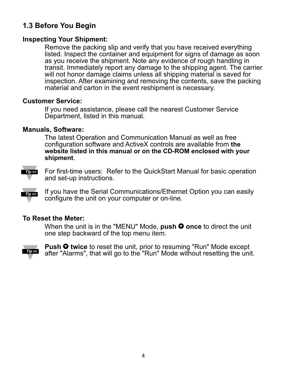### **1.3 Before You Begin**

### **Inspecting Your Shipment:**

Remove the packing slip and verify that you have received everything listed. Inspect the container and equipment for signs of damage as soon as you receive the shipment. Note any evidence of rough handling in transit. Immediately report any damage to the shipping agent. The carrier will not honor damage claims unless all shipping material is saved for inspection. After examining and removing the contents, save the packing material and carton in the event reshipment is necessary.

### **Customer Service:**

If you need assistance, please call the nearest Customer Service Department, listed in this manual.

### **Manuals, Software:**

The latest Operation and Communication Manual as well as free configuration software and ActiveX controls are available from **the website listed in this manual or on the CD-ROM enclosed with your shipment**.



For first-time users: Refer to the QuickStart Manual for basic operation and set-up instructions.

If you have the Serial Communications/Ethernet Option you can easily **Tip IS** configure the unit on your computer or on-line.

### **To Reset the Meter:**

When the unit is in the "MENU" Mode, **push**  $\bullet$  **once** to direct the unit one step backward of the top menu item.



**Push**  $\bullet$  **twice** to reset the unit, prior to resuming "Run" Mode except after "Alarms", that will go to the "Run" Mode without resetting the unit.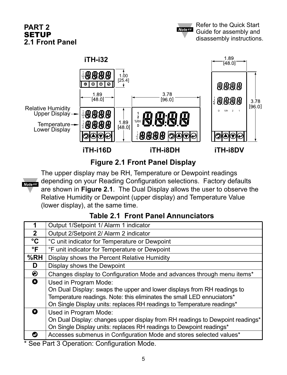### **PART 2 SETUP 2.1 Front Panel**



### **Figure 2.1 Front Panel Display**

**Note 188** 

The upper display may be RH, Temperature or Dewpoint readings depending on your Reading Configuration selections. Factory defaults are shown in **Figure 2.1**. The Dual Display allows the user to observe the Relative Humidity or Dewpoint (upper display) and Temperature Value (lower display), at the same time.

### **Table 2.1 Front Panel Annunciators**

|                 | Output 1/Setpoint 1/ Alarm 1 indicator                                        |
|-----------------|-------------------------------------------------------------------------------|
| $\mathbf{2}$    | Output 2/Setpoint 2/ Alarm 2 indicator                                        |
| $\rm ^{\circ}C$ | °C unit indicator for Temperature or Dewpoint                                 |
| $\mathsf{P}$    | °F unit indicator for Temperature or Dewpoint                                 |
| %RH             | Display shows the Percent Relative Humidity                                   |
| D               | Display shows the Dewpoint                                                    |
| ◉               | Changes display to Configuration Mode and advances through menu items*        |
| $\bullet$       | Used in Program Mode:                                                         |
|                 | On Dual Display: swaps the upper and lower displays from RH readings to       |
|                 | Temperature readings. Note: this eliminates the small LED ennuciators*        |
|                 | On Single Display units: replaces RH readings to Temperature readings*        |
| Ω               | Used in Program Mode:                                                         |
|                 | On Dual Display: changes upper display from RH readings to Dewpoint readings* |
|                 | On Single Display units: replaces RH readings to Dewpoint readings*           |
| Ω               | Accesses submenus in Configuration Mode and stores selected values*           |
|                 | * See Dert ? Operation: Centiguration Mode                                    |

See Part 3 Operation: Configuration Mode.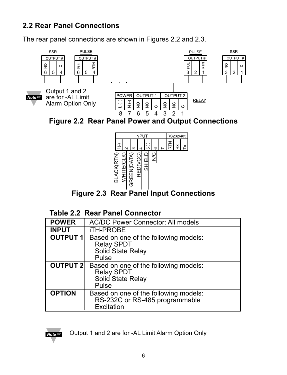### **2.2 Rear Panel Connections**

The rear panel connections are shown in Figures 2.2 and 2.3.



**Figure 2.2 Rear Panel Power and Output Connections**



**Figure 2.3 Rear Panel Input Connections**

### **Table 2.2 Rear Panel Connector**

|                 | <b>WHITE(CLK)</b><br>GREEN(DATA)<br>BED(VCC)<br>SHIELD<br>SHIELD<br>MC<br><b>BLACK(RTN</b><br><b>Figure 2.3 Rear Panel Input Connections</b><br><b>Table 2.2 Rear Panel Connector</b> |
|-----------------|---------------------------------------------------------------------------------------------------------------------------------------------------------------------------------------|
| <b>POWER</b>    | <b>AC/DC Power Connector: All models</b>                                                                                                                                              |
| <b>INPUT</b>    | iTH-PROBE                                                                                                                                                                             |
| <b>OUTPUT 1</b> | Based on one of the following models:<br><b>Relay SPDT</b><br>Solid State Relay<br>Pulse                                                                                              |
| <b>OUTPUT 2</b> | Based on one of the following models:<br><b>Relay SPDT</b><br>Solid State Relay<br>Pulse                                                                                              |
| <b>OPTION</b>   | Based on one of the following models:<br>RS-232C or RS-485 programmable<br>Excitation                                                                                                 |



Output 1 and 2 are for -AL Limit Alarm Option Only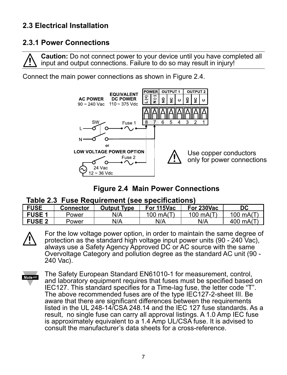### **2.3 Electrical Installation**

### **2.3.1 Power Connections**

**Caution:** Do not connect power to your device until you have completed all input and output connections. Failure to do so may result in injury!

Connect the main power connections as shown in Figure 2.4.



### **Figure 2.4 Main Power Connections**

### **Table 2.3 Fuse Requirement (see specifications)**

| <b>FUSE</b>   | Connector | <b>Dutput Tvpe</b> | For 115Vac | For 230Vac  | DC                   |
|---------------|-----------|--------------------|------------|-------------|----------------------|
| <b>FUSE 1</b> | Power     | N/A                | 100 mA(T   | 100 $mA(T)$ | 100 mA( <sup>-</sup> |
| <b>FUSE 2</b> | Power     | N/A                | N/A        | N/A         | ) mA(<br>400         |



For the low voltage power option, in order to maintain the same degree of protection as the standard high voltage input power units (90 - 240 Vac), always use a Safety Agency Approved DC or AC source with the same Overvoltage Category and pollution degree as the standard AC unit (90 - 240 Vac).

**Note 188** 

The Safety European Standard EN61010-1 for measurement, control, and laboratory equipment requires that fuses must be specified based on IEC127. This standard specifies for a Time-lag fuse, the letter code "T". The above recommended fuses are of the type IEC127-2-sheet III. Be aware that there are significant differences between the requirements listed in the UL 248-14/CSA 248.14 and the IEC 127 fuse standards. As a result, no single fuse can carry all approval listings. A 1.0 Amp IEC fuse is approximately equivalent to a 1.4 Amp UL/CSA fuse. It is advised to consult the manufacturer's data sheets for a cross-reference.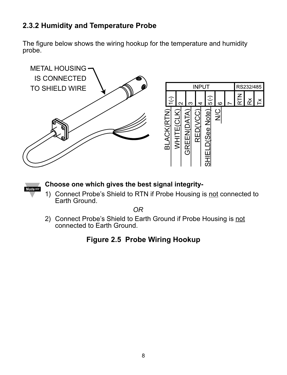### **2.3.2 Humidity and Temperature Probe**

The figure below shows the wiring hookup for the temperature and humidity probe.





### **Choose one which gives the best signal integrity-**

1) Connect Probe's Shield to RTN if Probe Housing is not connected to Earth Ground.

*OR*

2) Connect Probe's Shield to Earth Ground if Probe Housing is not connected to Earth Ground.

### **Figure 2.5 Probe Wiring Hookup**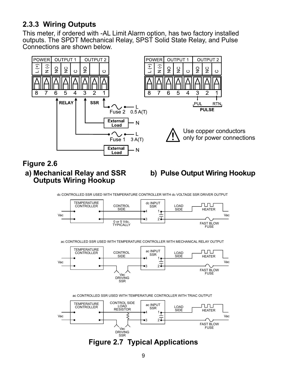### **2.3.3 Wiring Outputs**

This meter, if ordered with -AL Limit Alarm option, has two factory installed outputs. The SPDT Mechanical Relay, SPST Solid State Relay, and Pulse Connections are shown below.

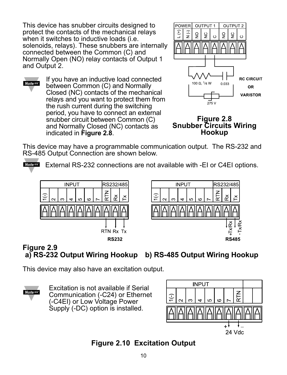This device has snubber circuits designed to protect the contacts of the mechanical relays when it switches to inductive loads (i.e. solenoids, relays). These snubbers are internally connected between the Common (C) and Normally Open (NO) relay contacts of Output 1 and Output 2.

If you have an inductive load connected **Note <sub>18</sub>** between Common (C) and Normally Closed (NC) contacts of the mechanical relays and you want to protect them from the rush current during the switching period, you have to connect an external snubber circuit between Common (C) and Normally Closed (NC) contacts as indicated in **Figure 2.8**.



**Figure 2.8 Snubber Circuits Wiring Hookup**

This device may have a programmable communication output. The RS-232 and RS-485 Output Connection are shown below.

**Noters** External RS-232 connections are not available with -EI or C4EI options.



### **Figure 2.9 a) RS-232 Output Wiring Hookup b) RS-485 Output Wiring Hookup**

This device may also have an excitation output.



Excitation is not available if Serial Communication (-C24) or Ethernet (-C4EI) or Low Voltage Power Supply (-DC) option is installed.



### **Figure 2.10 Excitation Output**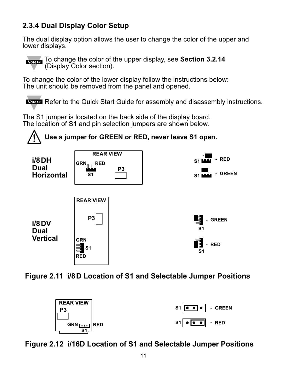### **2.3.4 Dual Display Color Setup**

The dual display option allows the user to change the color of the upper and lower displays.



**To change the color of the upper display, see Section 3.2.14** (Display Color section).

To change the color of the lower display follow the instructions below: The unit should be removed from the panel and opened.

**Noteral Refer to the Quick Start Guide for assembly and disassembly instructions.** 

The S1 jumper is located on the back side of the display board. The location of S1 and pin selection jumpers are shown below.







**Figure 2.12 i/16D Location of S1 and Selectable Jumper Positions**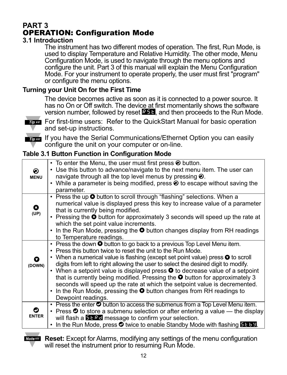### **PART 3** OPERATION: Configuration Mode

### **3.1 Introduction**

The instrument has two different modes of operation. The first, Run Mode, is used to display Temperature and Relative Humidity. The other mode, Menu Configuration Mode, is used to navigate through the menu options and configure the unit. Part 3 of this manual will explain the Menu Configuration Mode. For your instrument to operate properly, the user must first "program" or configure the menu options.

### **Turning your Unit On for the First Time**

The device becomes active as soon as it is connected to a power source. It has no On or Off switch. The device at first momentarily shows the software version number, followed by reset **RST, and then proceeds to the Run Mode.** 



**From** For first-time users: Refer to the QuickStart Manual for basic operation and set-up instructions.

If you have the Serial Communications/Ethernet Option you can easily configure the unit on your computer or on-line.

### **Table 3.1 Button Function in Configuration Mode**

| $\odot$<br><b>MENU</b> | $\cdot$ To enter the Menu, the user must first press $\odot$ button.<br>• Use this button to advance/navigate to the next menu item. The user can<br>navigate through all the top level menus by pressing $\odot$ .<br>• While a parameter is being modified, press $\odot$ to escape without saving the<br>parameter.                                                                                                                                                                                                                                                                                                                                                                                    |
|------------------------|-----------------------------------------------------------------------------------------------------------------------------------------------------------------------------------------------------------------------------------------------------------------------------------------------------------------------------------------------------------------------------------------------------------------------------------------------------------------------------------------------------------------------------------------------------------------------------------------------------------------------------------------------------------------------------------------------------------|
| $\bullet$<br>(UP)      | • Press the up O button to scroll through "flashing" selections. When a<br>numerical value is displayed press this key to increase value of a parameter<br>that is currently being modified.<br>• Pressing the O button for approximately 3 seconds will speed up the rate at<br>which the set point value increments.<br>$\cdot$ In the Run Mode, pressing the $\bullet$ button changes display from RH readings<br>to Temperature readings.                                                                                                                                                                                                                                                             |
| (DOWN)                 | • Press the down $\bullet$ button to go back to a previous Top Level Menu item.<br>• Press this button twice to reset the unit to the Run Mode.<br>• When a numerical value is flashing (except set point value) press $\bullet$ to scroll<br>digits from left to right allowing the user to select the desired digit to modify.<br>• When a setpoint value is displayed press $\bullet$ to decrease value of a setpoint<br>that is currently being modified. Pressing the $\bullet$ button for approximately 3<br>seconds will speed up the rate at which the setpoint value is decremented.<br>$\cdot$ In the Run Mode, pressing the $\bullet$ button changes from RH readings to<br>Dewpoint readings. |
| ο<br><b>ENTER</b>      | • Press the enter $\bullet$ button to access the submenus from a Top Level Menu item.<br>• Press $\bullet$ to store a submenu selection or after entering a value $-$ the display<br>will flash a <b>ECRC</b> message to confirm your selection.<br>• In the Run Mode, press O twice to enable Standby Mode with flashing ELEE.                                                                                                                                                                                                                                                                                                                                                                           |
|                        |                                                                                                                                                                                                                                                                                                                                                                                                                                                                                                                                                                                                                                                                                                           |

**Reset:** Except for Alarms, modifying any settings of the menu configuration will reset the instrument prior to resuming Run Mode.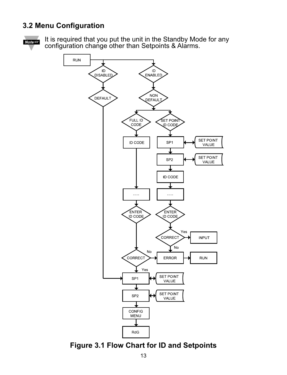### **3.2 Menu Configuration**



It is required that you put the unit in the Standby Mode for any configuration change other than Setpoints & Alarms.



**Figure 3.1 Flow Chart for ID and Setpoints**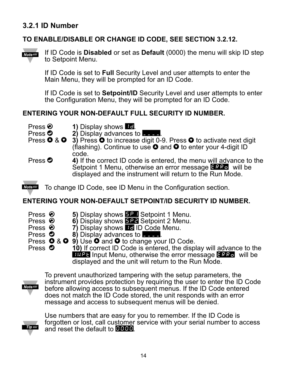### **3.2.1 ID Number**

### **TO ENABLE/DISABLE OR CHANGE ID CODE, SEE SECTION 3.2.12.**



If ID Code is **Disabled** or set as **Default** (0000) the menu will skip ID step to Setpoint Menu.

If ID Code is set to **Full** Security Level and user attempts to enter the Main Menu, they will be prompted for an ID Code.

If ID Code is set to **Setpoint/ID** Security Level and user attempts to enter the Configuration Menu, they will be prompted for an ID Code.

### **ENTERING YOUR NON-DEFAULT FULL SECURITY ID NUMBER.**

**Press <sup>(2</sup>) 1)** Display shows **ID.**<br>Press **2** 2) Display advances t

- Press **O** 2) Display advances to **Department**<br>Press **O** & **O** 3) Press **O** to increase digit
- **3)** Press  $\bullet$  to increase digit 0-9. Press  $\bullet$  to activate next digit (flashing). Continue to use  $\bullet$  and  $\bullet$  to enter your 4-digit ID code.
- **Press <sup>** $\bullet$ **</sup> 4)** If the correct ID code is entered, the menu will advance to the Setpoint 1 Menu, otherwise an error message ERRo will be displayed and the instrument will return to the Run Mode.

**Note <sub>13</sub>** To change ID Code, see ID Menu in the Configuration section.

### **ENTERING YOUR NON-DEFAULT SETPOINT/ID SECURITY ID NUMBER.**

- **Press <sup>●</sup> 5)** Display shows **BP1** Setpoint 1 Menu.<br>Press 6) Display shows **BP1** Setpoint 2 Menu
- Press **②** 6) Display shows **BP2** Setpoint 2 Menu.<br>Press **◎** 7) Display shows **D** ID Code Menu.
- Press **②** 7) Display shows **ID** ID Code Menu.<br>Press **◎** 8) Display advances to **Figure**.
- Press **O** 8) Display advances to **\_\_\_\_**.<br>Press **O** & **O** 9) Use **O** and **O** to change you
- **Press**  $\bullet$  **&**  $\bullet$  **9)** Use  $\bullet$  and  $\bullet$  to change your ID Code.<br>Press  $\bullet$  **10)** If correct ID Code is entered, the disp

**10)** If correct ID Code is entered, the display will advance to the **INPT** Input Menu, otherwise the error message ERRO will be displayed and the unit will return to the Run Mode.



To prevent unauthorized tampering with the setup parameters, the instrument provides protection by requiring the user to enter the ID Code before allowing access to subsequent menus. If the ID Code entered does not match the ID Code stored, the unit responds with an error message and access to subsequent menus will be denied.



Use numbers that are easy for you to remember. If the ID Code is forgotten or lost, call customer service with your serial number to access and reset the default to  $0000$ .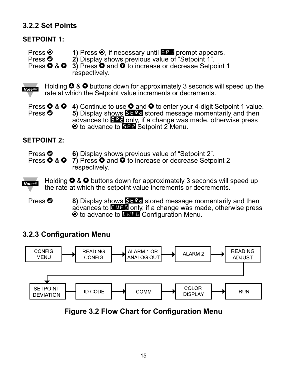### **3.2.2 Set Points**

### **SETPOINT 1:**

- Press **◎** 1) Press **◎**, if necessary until **SP1** prompt appears.<br>Press **◎** 2) Display shows previous value of "Setpoint 1"
- Press **O** 2) Display shows previous value of "Setpoint 1".<br>Press **O** & **O** 3) Press **O** and **O** to increase or decrease Setpo
- 3) Press  $\bullet$  and  $\bullet$  to increase or decrease Setpoint 1 respectively.

Holding  $\bullet$  &  $\bullet$  buttons down for approximately 3 seconds will speed up the Note 1887 rate at which the Setpoint value increments or decrements.

Press **O** & **O** 4) Continue to use **O** and **O** to enter your 4-digit Setpoint 1 value.<br>Press **O** 5) Display shows **ELRE** stored message momentarily and then **5)** Display shows **STRD** stored message momentarily and then advances to SP2 only, if a change was made, otherwise press  $\odot$  to advance to **BP2** Setpoint 2 Menu.

### **SETPOINT 2:**

Press <sup> $\bullet$ </sup> 6) Display shows previous value of "Setpoint 2".

Press  $\bullet$  &  $\bullet$  7) Press  $\bullet$  and  $\bullet$  to increase or decrease Setpoint 2 respectively.

Holding  $\bigcirc$  &  $\bigcirc$  buttons down for approximately 3 seconds will speed up Note <sub>188</sub> the rate at which the setpoint value increments or decrements.

**Press <sup>3</sup> 8)** Display shows **BLRD** stored message momentarily and then advances to **ENFG** only, if a change was made, otherwise press  $\odot$  to advance to **CRFG** Configuration Menu.

### **3.2.3 Configuration Menu**



**Figure 3.2 Flow Chart for Configuration Menu**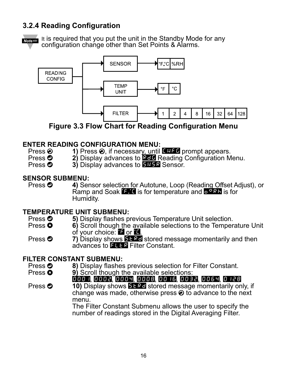### **3.2.4 Reading Configuration**

 $Note  $\sqrt{15}$$ 

It is required that you put the unit in the Standby Mode for any configuration change other than Set Points & Alarms.



**Figure 3.3 Flow Chart for Reading Configuration Menu**

# **ENTER READING CONFIGURATION MENU:**<br>Press  $\odot$  1) Press  $\odot$  if necessary until

- Press **②** 1) Press **②**, if necessary, until ENFE prompt appears.<br>Press **③** 2) Display advances to **Red** Reading Configuration M
- Press **O** 2) Display advances to **RED** Reading Configuration Menu.<br>Press **O** 3) Display advances to **REEG** Sensor.
	- 3) Display advances to **SNSR** Sensor.

# **SENSOR SUBMENU:**<br>Press **O** 4) Ser

4) Sensor selection for Autotune, Loop (Reading Offset Adjust), or Ramp and Soak **F. C** is for temperature and D<sup>ORR</sup> is for Humidity.

# **TEMPERATURE UNIT SUBMENU:**<br>Press **O** 50 Display flashes p

- **Press <b>0** 5) Display flashes previous Temperature Unit selection.<br>Press **0** 6) Scroll though the available selections to the Temper
- **6)** Scroll though the available selections to the Temperature Unit of your choice:  $\blacksquare$  or  $\blacksquare$ .
- **Press <b>0** 7) Display shows ELRE stored message momentarily and then advances to FLTR Filter Constant.

# **FILTER CONSTANT SUBMENU:**<br>Press **O** 8) Display flashes

- Press **0 8)** Display flashes previous selection for Filter Constant.<br>Press **0** 9) Scroll though the available selections:
	- **9)** Scroll though the available selections:

### 0001, 0002, 0004, 0008, 0016, 0032, 0064, 0128

**Press**  $\odot$  **<b>10)** Display shows **SERE** stored message momentarily only, if change was made, otherwise press  $\odot$  to advance to the next menu.

The Filter Constant Submenu allows the user to specify the number of readings stored in the Digital Averaging Filter.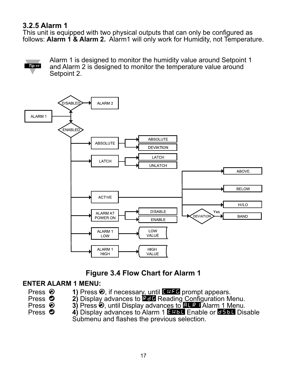### **3.2.5 Alarm 1**

This unit is equipped with two physical outputs that can only be configured as follows: **Alarm 1 & Alarm 2.** Alarm1 will only work for Humidity, not Temperature.



Alarm 1 is designed to monitor the humidity value around Setpoint 1 and Alarm 2 is designed to monitor the temperature value around Setpoint 2.



### **Figure 3.4 Flow Chart for Alarm 1**

### **ENTER ALARM 1 MENU:**

- 
- 
- Press **②** 1) Press **②**, if necessary, until ENFE prompt appears.<br>Press **③** 2) Display advances to **EFFI** Reading Configuration M
- 
- Press **①** 2) Display advances to **RD** Reading Configuration Menu.<br>Press **②** 3) Press **②** until Display advances to **RDG** Alarm 1 Menu.
- Press **a 3)** Press **a**, until Display advances to **ALRI** Alarm 1 Menu.<br>Press **3 4**) Display advances to Alarm 1 **RRI Enable or BRI Dis** 4) Display advances to Alarm 1 **ENBL Enable or DSBL Disable** Submenu and flashes the previous selection.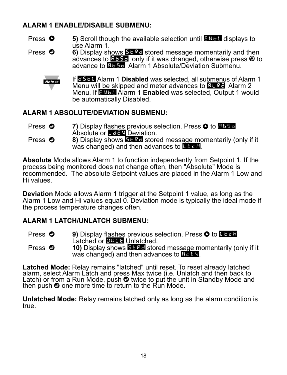### **ALARM 1 ENABLE/DISABLE SUBMENU:**

- **Press <b>0** 5) Scroll though the available selection until ENEL displays to use Alarm 1.
- Press  $\bullet$  6) Display shows **STRD** stored message momentarily and then advances to  $\mathbf{B}$  and  $\mathbf{v}$  if it was changed, otherwise press  $\mathbf{\Theta}$  to advance to **BBS** Alarm 1 Absolute/Deviation Submenu.



If **BSBL** Alarm 1 **Disabled** was selected, all submenus of Alarm 1 Menu will be skipped and meter advances to  $\mathbb{R}$ . Alarm 2 Menu. If ENBL Alarm 1 **Enabled** was selected, Output 1 would be automatically Disabled.

### **ALARM 1 ABSOLUTE/DEVIATION SUBMENU:**

- **Press**  $\odot$  **7) Display flashes previous selection. Press**  $\odot$  **to <b>ABSo** Absolute or **DEV** Deviation.
- Press  $\bullet$  **8)** Display shows **EFRE** stored message momentarily (only if it was changed) and then advances to  $\mathbf{L}$  and

**Absolute** Mode allows Alarm 1 to function independently from Setpoint 1. If the process being monitored does not change often, then "Absolute" Mode is recommended. The absolute Setpoint values are placed in the Alarm 1 Low and Hi values.

**Deviation** Mode allows Alarm 1 trigger at the Setpoint 1 value, as long as the Alarm 1 Low and Hi values equal 0. Deviation mode is typically the ideal mode if the process temperature changes often.

### **ALARM 1 LATCH/UNLATCH SUBMENU:**

- **Press**  $\bullet$  **9) Display flashes previous selection. Press**  $\bullet$  **to LT<sub>C</sub>H** Latched or **UNLT** Unlatched.
- Press  $\bullet$  **10)** Display shows **SERC** stored message momentarily (only if it was changed) and then advances to  $\mathbb{E} \in \mathbb{V}$ .

Latched Mode: Relay remains "latched" until reset. To reset already latched alarm, select Alarm Latch and press Max twice (i.e. Unlatch and then back to Latch) or from a Run Mode, push  $\bullet$  twice to put the unit in Standby Mode and then push  $\bullet$  one more time to return to the Run Mode.

**Unlatched Mode:** Relay remains latched only as long as the alarm condition is true.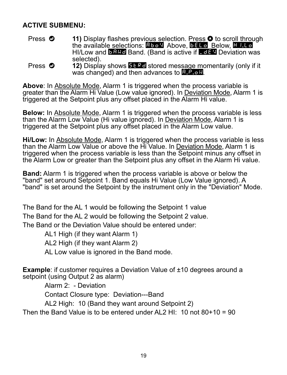### **ACTIVE SUBMENU:**

- Press  $\bullet$  **11)** Display flashes previous selection. Press  $\bullet$  to scroll through the available selections: **ABoV** Above, **BELO** Below, **HI.Lo** HI/Low and **BAND** Band. (Band is active if **LOEV** Deviation was selected).
- **Press**  $\bullet$  **12) Display shows <b>BERD** stored message momentarily (only if it was changed) and then advances to  $\mathbb{R}$ .  $\mathbb{R}$ .

**Above**: In Absolute Mode, Alarm 1 is triggered when the process variable is greater than the Alarm Hi Value (Low value ignored). In Deviation Mode, Alarm 1 is triggered at the Setpoint plus any offset placed in the Alarm Hi value.

**Below:** In Absolute Mode, Alarm 1 is triggered when the process variable is less than the Alarm Low Value (Hi value ignored). In Deviation Mode, Alarm 1 is triggered at the Setpoint plus any offset placed in the Alarm Low value.

**Hi/Low:** In Absolute Mode, Alarm 1 is triggered when the process variable is less than the Alarm Low Value or above the Hi Value. In Deviation Mode, Alarm 1 is triggered when the process variable is less than the Setpoint minus any offset in the Alarm Low or greater than the Setpoint plus any offset in the Alarm Hi value.

**Band:** Alarm 1 is triggered when the process variable is above or below the "band" set around Setpoint 1. Band equals Hi Value (Low Value ignored). A "band" is set around the Setpoint by the instrument only in the "Deviation" Mode.

The Band for the AL 1 would be following the Setpoint 1 value The Band for the AL 2 would be following the Setpoint 2 value. The Band or the Deviation Value should be entered under:

AL1 High (if they want Alarm 1)

AL2 High (if they want Alarm 2)

AL Low value is ignored in the Band mode.

**Example:** if customer requires a Deviation Value of ±10 degrees around a setpoint (using Output 2 as alarm)

Alarm 2: - Deviation

Contact Closure type: Deviation---Band

AL2 High: 10 (Band they want around Setpoint 2)

Then the Band Value is to be entered under AL2 HI:  $10 \text{ not } 80+10 = 90$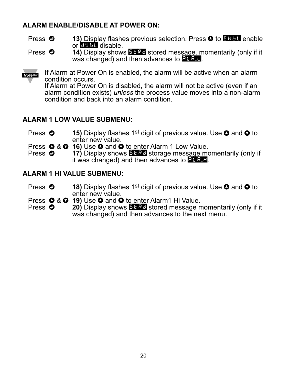### **ALARM ENABLE/DISABLE AT POWER ON:**

- Press  $\bullet$  **13)** Display flashes previous selection. Press **O** to ENDL enable or  $\overline{B5bL}$  disable.
- Press  $\bullet$  **14)** Display shows **STRD** stored message. momentarily (only if it was changed) and then advances to  $ATEL$ .

**Note IS** 

If Alarm at Power On is enabled, the alarm will be active when an alarm condition occurs.

If Alarm at Power On is disabled, the alarm will not be active (even if an alarm condition exists) *unless* the process value moves into a non-alarm condition and back into an alarm condition.

### **ALARM 1 LOW VALUE SUBMENU:**

- Press  $\bullet$  **15)** Display flashes 1<sup>st</sup> digit of previous value. Use  $\bullet$  and  $\bullet$  to enter new value.
- Press **O** & **O** 16) Use **O** and **O** to enter Alarm 1 Low Value.<br>Press **O** 17) Display shows **ELRE** storage message mo
	- **17)** Display shows **FTRD** storage message momentarily (only if it was changed) and then advances to **ALR.H.**

### **ALARM 1 HI VALUE SUBMENU:**

- Press  $\bullet$  **18)** Display flashes 1<sup>st</sup> digit of previous value. Use  $\bullet$  and  $\bullet$  to enter new value.
- **Press Q & Q 19)** Use **Q** and **Q** to enter Alarm1 Hi Value.<br>Press **Q 20)** Display shows **FERE** stored message m
- 20) Display shows **BERD** stored message momentarily (only if it was changed) and then advances to the next menu.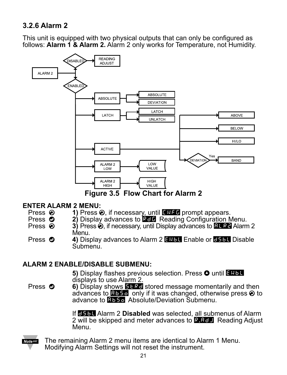### **3.2.6 Alarm 2**

This unit is equipped with two physical outputs that can only be configured as follows: **Alarm 1 & Alarm 2.** Alarm 2 only works for Temperature, not Humidity.



# **ENTER ALARM 2 MENU:**<br>Press ❷ 1) Press *♦*

- **Press <sup>@</sup>** 1) Press <sup>*e*</sup>, if necessary, until CNFG prompt appears.<br>Press **@** 2) Display advances to **CCL** Reading Configuration M
- Press **O** 2) Display advances to **REE** Reading Configuration Menu.<br>Press **@** 3) Press **O** if necessary until Display advances to **REEP** Alarm
- **3)** Press  $\hat{\mathbf{\Theta}}$ , if necessary, until Display advances to **BL R2** Alarm 2 Menu.
- Press  $\odot$  4) Display advances to Alarm 2 **ENBL** Enable or **BELL** Disable Submenu.

### **ALARM 2 ENABLE/DISABLE SUBMENU:**

**5)** Display flashes previous selection. Press  $\bullet$  until ENBL displays to use Alarm 2.

**Press <b>O** 6) Display shows **ELRC** stored message momentarily and then advances to  $\mathbf{B}$  and  $\mathbf{B}$  only if it was changed, otherwise press  $\odot$  to advance to **BBSo** Absolute/Deviation Submenu.

> If **DSBL** Alarm 2 Disabled was selected, all submenus of Alarm 2 will be skipped and meter advances to  $R$ ,  $R$ <sub> $d$ </sub> Reading Adjust Menu.



The remaining Alarm 2 menu items are identical to Alarm 1 Menu. Modifying Alarm Settings will not reset the instrument.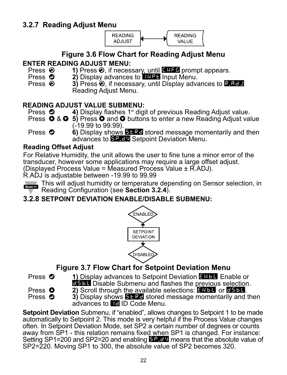

## **Figure 3.6 Flow Chart for Reading Adjust Menu**

# **ENTER READING ADJUST MENU:**<br>Press **⊘** 1) Press ⊘ if neces

- Press **②** 1) Press **②**, if necessary, until ENFE prompt appears.<br>Press **◎** 2) Display advances to **UNFE** Input Menu.
- **Press**  $\odot$  **2) Display advances to <b>INPT** Input Menu.<br>Press  $\odot$  3) Press  $\odot$  if necessary, until Display adva
- 3) Press  $\odot$ , if necessary, until Display advances to **R.ADJ** Reading Adjust Menu.

# **READING ADJUST VALUE SUBMENU:**<br>Press **O** 4) Display flashes 1<sup>st</sup> digi

- 4) Display flashes 1<sup>st</sup> digit of previous Reading Adjust value.
- Press  $\bullet$  &  $\bullet$  5) Press  $\bullet$  and  $\bullet$  buttons to enter a new Reading Adjust value (-19.99 to 99.99).
- **Press**  $\odot$  **<b>6**) Display shows **ELRC** stored message momentarily and then advances to **SP. JV** Setpoint Deviation Menu.

### **Reading Offset Adjust**

For Relative Humidity, the unit allows the user to fine tune a minor error of the transducer, however some applications may require a large offset adjust. (Displayed Process Value = Measured Process Value ± R.ADJ).

R.ADJ is adjustable between -19.99 to 99.99



This will adjust humidity or temperature depending on Sensor selection, in Reading Configuration (see **Section 3.2.4**).

### **3.2.8 SETPOINT DEVIATION ENABLE/DISABLE SUBMENU:**



### **Figure 3.7 Flow Chart for Setpoint Deviation Menu**

- 
- **Press**  $\bullet$  **1) Display advances to Setpoint Deviation ENBL Enable or DEDB** Disable Submenu and flashes the previous selection.
- 
- 
- **Press 3 2)** Scroll through the available selections: **ENBL or ESBL.**<br>Press **O** 3) Display shows **ELBL** stored message momentarily and t **3)** Display shows **STRD** stored message momentarily and then advances to **ID** ID Code Menu.

**Setpoint Deviation** Submenu, if "enabled", allows changes to Setpoint 1 to be made automatically to Setpoint 2. This mode is very helpful if the Process Value changes often. In Setpoint Deviation Mode, set SP2 a certain number of degrees or counts away from SP1 - this relation remains fixed when SP1 is changed. For instance: Setting SP1=200 and SP2=20 and enabling  $59.6V$  means that the absolute value of SP2=220. Moving SP1 to 300, the absolute value of SP2 becomes 320.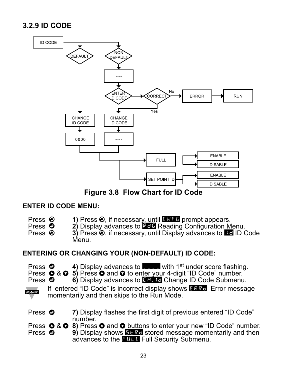### **3.2.9 ID CODE**



**Figure 3.8 Flow Chart for ID Code**

### **ENTER ID CODE MENU:**

| Press $\odot$<br>Press ©<br>Press $\odot$           | 1) Press $\odot$ , if necessary, until $\mathbf{F} \cdot \mathbf{F} \cdot \mathbf{F}$ prompt appears.<br>2) Display advances to <b>REF</b> Reading Configuration Menu.<br>3) Press $\odot$ , if necessary, until Display advances to <b>Hell ID Code</b><br>Menu.                                                                                                                                    |
|-----------------------------------------------------|------------------------------------------------------------------------------------------------------------------------------------------------------------------------------------------------------------------------------------------------------------------------------------------------------------------------------------------------------------------------------------------------------|
|                                                     | <b>ENTERING OR CHANGING YOUR (NON-DEFAULT) ID CODE:</b>                                                                                                                                                                                                                                                                                                                                              |
| Press <b>O</b><br>Press <b>O</b><br><b>Note EST</b> | 4) Display advances to $\blacksquare$ with 1 <sup>st</sup> under score flashing.<br>Press $\bullet$ & $\bullet$ 5) Press $\bullet$ and $\bullet$ to enter your 4-digit "ID Code" number.<br>6) Display advances to <b>Example 20 Change ID Code Submenu.</b><br>If entered "ID Code" is incorrect display shows <b>ERR</b> <sub>2</sub> Error message<br>momentarily and then skips to the Run Mode. |
| Press O                                             | 7) Display flashes the first digit of previous entered "ID Code"<br>number.                                                                                                                                                                                                                                                                                                                          |
| Press <b>O</b>                                      | Press $\bigcirc$ & $\bigcirc$ 8) Press $\bigcirc$ and $\bigcirc$ buttons to enter your new "ID Code" number.<br>9) Display shows <b>ELRE</b> stored message momentarily and then<br>advances to the <b>EHEL</b> Full Security Submenu.                                                                                                                                                               |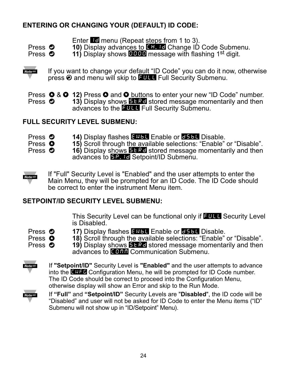### **ENTERING OR CHANGING YOUR (DEFAULT) ID CODE:**

Enter **H**<sub>d</sub> menu (Repeat steps from 1 to 3).

- **Press © 10)** Display advances to **CH.ID** Change ID Code Submenu.<br>Press © 11) Display shows **DEEB** message with flashing 1<sup>st</sup> digit.
	- 11) Display shows **DDD** message with flashing 1<sup>st</sup> digit.

Note <sub>EST</sub>

If you want to change your default "ID Code" you can do it now, otherwise press @ and menu will skip to FULL Full Security Submenu.

Press **O** & **O** 12) Press **O** and **O** buttons to enter your new "ID Code" number.<br>Press **O** 13) Display shows **EERE** stored message momentarily and then **13)** Display shows **STRD** stored message momentarily and then advances to the **FULL** Full Security Submenu.

### **FULL SECURITY LEVEL SUBMENU:**

**Press © 14)** Display flashes ENBL Enable or **CSBL** Disable.<br>Press © 15) Scroll through the available selections: "Enable"

**Press**  $\bullet$  **15)** Scroll through the available selections: "Enable" or "Disable".<br>Press  $\bullet$  16) Display shows **ELRC** stored message momentarily and then

**16)** Display shows **BLRD** stored message momentarily and then advances to **5P. ID** Setpoint/ID Submenu.



If "Full" Security Level is "Enabled" and the user attempts to enter the Main Menu, they will be prompted for an ID Code. The ID Code should be correct to enter the instrument Menu item.

### **SETPOINT/ID SECURITY LEVEL SUBMENU:**

This Security Level can be functional only if **FULL** Security Level is Disabled.

- 
- 
- **Press © 17)** Display flashes ENBL Enable or **CSBL** Disable.<br>Press © 18) Scroll through the available selections: "Enable"

**Press**  $\bullet$  **18)** Scroll through the available selections: "Enable" or "Disable".<br>Press  $\bullet$  19) Display shows **ELRC** stored message momentarily and then **19)** Display shows **STRD** stored message momentarily and then advances to COMM Communication Submenu.



If **"Setpoint/ID"** Security Level is **"Enabled"** and the user attempts to advance into the **CHFG** Configuration Menu, he will be prompted for ID Code number. The ID Code should be correct to proceed into the Configuration Menu, otherwise display will show an Error and skip to the Run Mode.



If **"Full"** and **"Setpoint/ID"** Security Levels are "**Disabled**", the ID code will be "Disabled" and user will not be asked for ID Code to enter the Menu items ("ID" Submenu will not show up in "ID/Setpoint" Menu).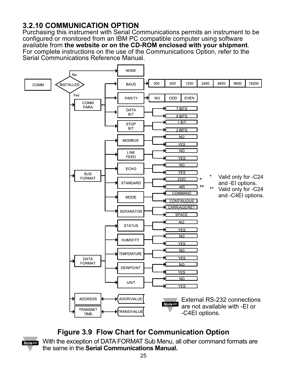### **3.2.10 COMMUNICATION OPTION**

Purchasing this instrument with Serial Communications permits an instrument to be configured or monitored from an IBM PC compatible computer using software available from **the website or on the CD-ROM enclosed with your shipment**. For complete instructions on the use of the Communications Option, refer to the Serial Communications Reference Manual.



### **Figure 3.9 Flow Chart for Communication Option**

With the exception of DATA FORMAT Sub Menu, all other command formats are **Note**  $\sqrt{100}$ the same in the **Serial Communications Manual.**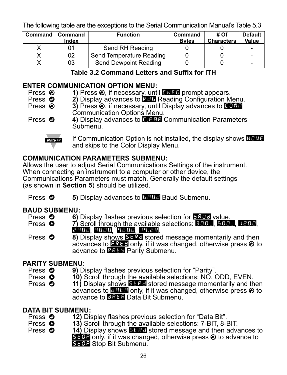The following table are the exceptions to the Serial Communication Manual's Table 5.3

| <b>Command</b> | Command<br>Index | <b>Function</b>              | <b>Command</b><br><b>Bytes</b> | # Of<br><b>Characters</b> | <b>Default</b><br><b>Value</b> |
|----------------|------------------|------------------------------|--------------------------------|---------------------------|--------------------------------|
|                | 01               | Send RH Reading              |                                |                           |                                |
|                | 02               | Send Temperature Reading     |                                |                           |                                |
|                | 03               | <b>Send Dewpoint Reading</b> |                                |                           | -                              |

### **Table 3.2 Command Letters and Suffix for iTH**

# **ENTER COMMUNICATION OPTION MENU:**<br>Press **⊘** 1) Press ⊘. if necessary. unti

- Press **②** 1) Press **③**, if necessary, until ENFG prompt appears.<br>Press **◎** 2) Display advances to **REG** Reading Configuration M
- **Press <b>O** 2) Display advances to RED Reading Configuration Menu.<br>Press **O** 3) Press **O** if necessary until Display advances to FIFF
	- **3)** Press  $\odot$ , if necessary, until Display advances to **COMM** Communication Options Menu.
- Press  $\bullet$  4) Display advances to **C.P.R.** Communication Parameters Submenu.



If Communication Option is not installed, the display shows NONE and skips to the Color Display Menu.

### **COMMUNICATION PARAMETERS SUBMENU:**

Allows the user to adjust Serial Communications Settings of the instrument. When connecting an instrument to a computer or other device, the Communications Parameters must match. Generally the default settings (as shown in **Section 5**) should be utilized.

Press  $\bullet$  5) Display advances to **BAUD** Baud Submenu.

# **BAUD SUBMENU:**<br>**Press © 6**

- **Press © 6)** Display flashes previous selection for **BAUD** value.<br>Press **©** 7) Scroll through the available selections: **EHH** BAH
- **7)** Scroll through the available selections: **300\_, 500\_, 1200**, **1200**,
- **Press**  $\bullet$  **8) Display shows <b>STRD** stored message momentarily and then advances to **PRTY** only, if it was changed, otherwise press  $\odot$  to advance to **PREY** Parity Submenu.

# **PARITY SUBMENU:**<br>Press **O** 9) Di

- **Press <b>O** 9) Display flashes previous selection for "Parity".<br>Press **O** 10) Scroll through the available selections: NO. C
- **Press**  $\bullet$  **10)** Scroll through the available selections: NO, ODD, EVEN.<br>Press  $\bullet$  11) Display shows **ELRE** stored message momentarily and th
- 11) Display shows **STRD** stored message momentarily and then advances to **DRT** only, if it was changed, otherwise press  $\odot$  to advance to **DATA** Data Bit Submenu.

# **DATA BIT SUBMENU:**<br>Press **O** 12) Dis

- **Press**  $\odot$  **<b>12)** Display flashes previous selection for "Data Bit".<br>Press  $\odot$  **13)** Scroll through the available selections: 7-BIT 8-
- **Press <b>O** 13) Scroll through the available selections: 7-BIT, 8-BIT.<br>Press **O** 14) Display shows **BERG** stored message and then adva
- 14) Display shows **PRES** stored message and then advances to **SE BP** only, if it was changed, otherwise press  $\odot$  to advance to **STOP** Stop Bit Submenu.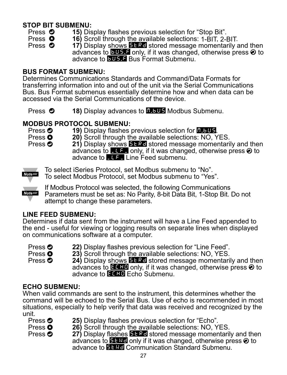# **STOP BIT SUBMENU:**<br>Press **O** 15) Dis

- **Press © 15)** Display flashes previous selection for "Stop Bit".<br>Press © 16) Scroll through the available selections: 1-BIT 2-I
	-
- **Press <b>O** 16) Scroll through the available selections: 1-BIT, 2-BIT.<br>Press **O** 17) Display shows **BERG** stored message momentarily a

17) Display shows **STRD** stored message momentarily and then advances to **BUS.** only, if it was changed, otherwise press  $\odot$  to advance to **BUS.3** Bus Format Submenu

### **BUS FORMAT SUBMENU:**

Determines Communications Standards and Command/Data Formats for transferring information into and out of the unit via the Serial Communications Bus. Bus Format submenus essentially determine how and when data can be accessed via the Serial Communications of the device.

Press  $\odot$  **18)** Display advances to **H.BUS** Modbus Submenu.

**MODBUS PROTOCOL SUBMENU:**<br>Press **O** 19) Display flashes previous selection for **P.5.9.9.** 

**19)** Press **0 20**) Scroll through the available selections: NO, YES. Press **0 21)** Display shows **ELBU** stored message momentari

**21)** Display shows **BERD** stored message momentarily and then advances to  $\Box$  only, if it was changed, otherwise press  $\odot$  to advance to  $L =$  Line Feed submenu.



To select iSeries Protocol, set Modbus submenu to "No".

To select Modbus Protocol, set Modbus submenu to "Yes".



If Modbus Protocol was selected, the following Communications Parameters must be set as: No Parity, 8-bit Data Bit, 1-Stop Bit. Do not attempt to change these parameters.

### **LINE FEED SUBMENU:**

Determines if data sent from the instrument will have a Line Feed appended to the end - useful for viewing or logging results on separate lines when displayed on communications software at a computer.

**Press <b>0** 22) Display flashes previous selection for "Line Feed".<br>Press **0** 23) Scroll through the available selections: NO YFS

**Press 0 23)** Scroll through the available selections: NO, YES.<br>Press **O** 24) Display shows **ELRE** stored message momentari

**24)** Display shows **ELRC** stored message momentarily and then advances to ECH only, if it was changed, otherwise press  $\odot$  to advance to **ECHO** Echo Submenu.

### **ECHO SUBMENU:**

When valid commands are sent to the instrument, this determines whether the command will be echoed to the Serial Bus. Use of echo is recommended in most situations, especially to help verify that data was received and recognized by the unit.

| Press <sup>o</sup> |  |
|--------------------|--|
| Press <b>O</b>     |  |
| Press <b>ව</b>     |  |

- **25)** Display flashes previous selection for "Echo".
- 26) Scroll through the available selections: NO, YES.
	- **27)** Display flashes **STRD** stored message momentarily and then advances to  $\blacksquare$  and only if it was changed, otherwise press  $\odot$  to advance to **EI-RE** Communication Standard Submenu.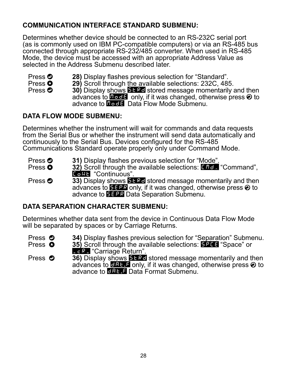### **COMMUNICATION INTERFACE STANDARD SUBMENU:**

Determines whether device should be connected to an RS-232C serial port (as is commonly used on IBM PC-compatible computers) or via an RS-485 bus connected through appropriate RS-232/485 converter. When used in RS-485 Mode, the device must be accessed with an appropriate Address Value as selected in the Address Submenu described later.

- **Press <sup>o</sup> 28)** Display flashes previous selection for "Standard".<br>Press **O** 29) Scroll through the available selections: 232C. 48
- **Press 0 29)** Scroll through the available selections: 232C, 485.<br>Press **O** 30) Display shows **CL 3d** stored message momentarily.
- **30)** Display shows **ETRD** stored message momentarily and then advances to  $\blacksquare$  only, if it was changed, otherwise press  $\odot$  to advance to **Hode** Data Flow Mode Submenu.

### **DATA FLOW MODE SUBMENU:**

Determines whether the instrument will wait for commands and data requests from the Serial Bus or whether the instrument will send data automatically and continuously to the Serial Bus. Devices configured for the RS-485 Communications Standard operate properly only under Command Mode.

- **Press <sup>o</sup> 31)** Display flashes previous selection for "Mode".<br>Press **O** 32) Scroll through the available selections: Fifter
	- **32)** Scroll through the available selections: **CHD** "Command", **Continuous**".

Press **33)** Display shows **SERE** stored message momentarily and then advances to  $\mathbf{E}$  is only, if it was changed, otherwise press  $\odot$  to advance to SEPR Data Separation Submenu.

### **DATA SEPARATION CHARACTER SUBMENU:**

Determines whether data sent from the device in Continuous Data Flow Mode will be separated by spaces or by Carriage Returns.

- **Press © 34)** Display flashes previous selection for "Separation" Submenu.<br>Press © 35) Scroll through the available selections: E244 "Space" or
	- **35)** Scroll through the available selections: **BPCE** "Space" or \_çR\_ "Carriage Return".

**Press**  $\bullet$  **36)** Display shows **STRD** stored message momentarily and then advances to  $\Box$   $\Box$  only, if it was changed, otherwise press  $\odot$  to advance to **DBL E** Data Format Submenu.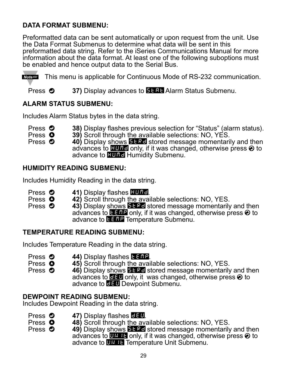### **DATA FORMAT SUBMENU:**

Preformatted data can be sent automatically or upon request from the unit. Use the Data Format Submenus to determine what data will be sent in this preformatted data string. Refer to the iSeries Communications Manual for more information about the data format. At least one of the following suboptions must be enabled and hence output data to the Serial Bus.

Noters This menu is applicable for Continuous Mode of RS-232 communication.

Press  $\odot$  37) Display advances to **STAT** Alarm Status Submenu.

### **ALARM STATUS SUBMENU:**

Includes Alarm Status bytes in the data string.

- **Press © 38)** Display flashes previous selection for "Status" (alarm status).<br>Press © 39) Scroll through the available selections: NO. YES.
- **Press**  $\bullet$  **39)** Scroll through the available selections: NO, YES.<br>Press  $\bullet$  40) Display shows **ELRE** stored message momentari

**40)** Display shows **BLRD** stored message momentarily and then advances to **HUMD** only, if it was changed, otherwise press  $\odot$  to advance to **HUHH** Humidity Submenu.

### **HUMIDITY READING SUBMENU:**

Includes Humidity Reading in the data string.

- 
- **Press © 41)** Display flashes **HUMD.**<br>Press © 42) Scroll through the available selections: NO, YES.<br>Press © 43) Display shows **FES-L** stored message momentarily
- **43)** Display shows **ET RD** stored message momentarily and then advances to  $\blacksquare$  and  $\blacksquare$  only, if it was changed, otherwise press  $\odot$  to advance to **TEMP** Temperature Submenu.

### **TEMPERATURE READING SUBMENU:**

Includes Temperature Reading in the data string.

- **Press © 44)** Display flashes **LEMP.**<br>Press © 45) Scroll through the avai
- **Press**  $\bullet$  **45)** Scroll through the available selections: NO, YES.<br>Press  $\bullet$  46) Display shows **2184** stored message momentarily
- **46)** Display shows **ET RD** stored message momentarily and then advances to  $\Box$  only, it was changed, otherwise press  $\odot$  to advance to **DEU** Dewpoint Submenu.

### **DEWPOINT READING SUBMENU:**

Includes Dewpoint Reading in the data string.

- **Press © 47)** Display flashes **DEU.**<br>Press © 48) Scroll through the ava
- **Press**  $\bullet$  **<b>48)** Scroll through the available selections: NO, YES.<br>Press  $\bullet$  **49)** Display shows **RESE** stored message momentarily
- **49)** Display shows **ET RD** stored message momentarily and then advances to  $\mathbf{H}$ . Let only, if it was changed, otherwise press  $\odot$  to advance to **UKITE** Temperature Unit Submenu.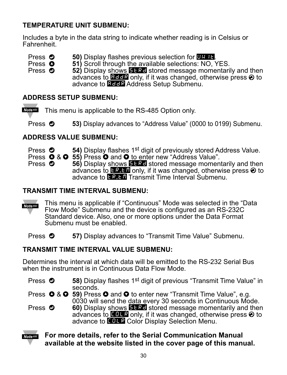### **TEMPERATURE UNIT SUBMENU:**

Includes a byte in the data string to indicate whether reading is in Celsius or **Fahrenheit** 

- 
- **Press © 50)** Display flashes previous selection for UNIT.<br>Press © 51) Scroll through the available selections: NO, YES.<br>Press © 52) Display shows **FL RE** stored message momentari

**52)** Display shows **ELRE** stored message momentarily and then advances to **ADDR** only, if it was changed, otherwise press  $\odot$  to advance to **BEER** Address Setup Submenu.

### **ADDRESS SETUP SUBMENU:**

Note<sup>rs</sup> This menu is applicable to the RS-485 Option only.

**Press**  $\bullet$  **53)** Display advances to "Address Value" (0000 to 0199) Submenu.

### **ADDRESS VALUE SUBMENU:**

**Press**  $\bullet$  **54)** Display flashes 1<sup>st</sup> digit of previously stored Address Value.

**Press**  $\bullet$  **&**  $\bullet$  **55)** Press  $\bullet$  and  $\bullet$  to enter new "Address Value".<br>Press  $\bullet$  56) Display shows **ELER** stored message moment

56) Display shows **STRD** stored message momentarily and then advances to  $\mathbf{F}$ .  $\mathbf{F}$  only, if it was changed, otherwise press  $\odot$  to advance to **ER.IM** Transmit Time Interval Submenu.

### **TRANSMIT TIME INTERVAL SUBMENU:**

This menu is applicable if "Continuous" Mode was selected in the "Data Note <sub>188</sub> Flow Mode" Submenu and the device is configured as an RS-232C Standard device. Also, one or more options under the Data Format Submenu must be enabled.

Press  $\bullet$  57) Display advances to "Transmit Time Value" Submenu.

### **TRANSMIT TIME INTERVAL VALUE SUBMENU:**

Determines the interval at which data will be emitted to the RS-232 Serial Bus when the instrument is in Continuous Data Flow Mode.

**Press**  $\odot$  **58)** Display flashes 1<sup>st</sup> digit of previous "Transmit Time Value" in seconds.

Press **O** & **O** 59) Press **O** and **O** to enter new "Transmit Time Value", e.g. 0030 will send the data every 30 seconds in Continuous Mode.

**Press**  $\odot$  **60)** Display shows **BERD** stored message momentarily and then advances to **COLR** only, if it was changed, otherwise press  $\odot$  to advance to **COLR** Color Display Selection Menu.

### **For more details, refer to the Serial Communication Manual Note use available at the website listed in the cover page of this manual.**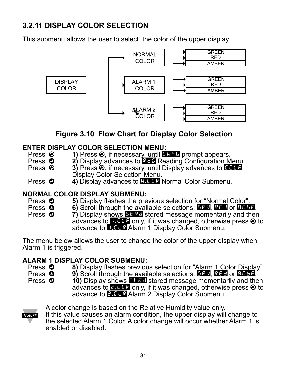### **3.2.11 DISPLAY COLOR SELECTION**

This submenu allows the user to select the color of the upper display.



### **Figure 3.10 Flow Chart for Display Color Selection**

# **ENTER DISPLAY COLOR SELECTION MENU:**<br>Press **の** 1) Press **の** if necessary until

- Press **②** 1) Press **②**, if necessary, until ENFE prompt appears.<br>Press **◎** 2) Display advances to **ECL** Reading Configuration M
- Press **①** 2) Display advances to **RED** Reading Configuration Menu.<br>Press **②** 3) Press **②** if necessary, until Display advances to EEE
- **3)** Press  $\odot$ , if necessary, until Display advances to CHLR Display Color Selection Menu.
- Press  $\odot$  4) Display advances to **N.C.** Normal Color Submenu.

# **NORMAL COLOR DISPLAY SUBMENU:**<br>Press **©** 5) Display flashes the pre

- **Press © 5)** Display flashes the previous selection for "Normal Color".<br>Press © 6) Scroll through the available selections: **FRA** REFI or **REF**
- **Press 3 6)** Scroll through the available selections: GRN, RED or AMBR. Press 3 **0 7**) Display shows **ELRE** stored message momentarily and then
- advances to  $\blacksquare$  . If it was changed, otherwise press  $\odot$  to advance to **1.CLR** Alarm 1 Display Color Submenu.

The menu below allows the user to change the color of the upper display when Alarm 1 is triggered.

# **ALARM 1 DISPLAY COLOR SUBMENU:**

- Press **O** 8) Display flashes previous selection for "Alarm 1 Color Display".<br>Press **O** 9) Scroll through the available selections: **DSR BEFL** or **BRFS**
- **Press 3** 9) Scroll through the available selections: GRN, RED or **AMBR.**<br>Press **O** 10) Display shows **BERD** stored message momentarily and the
	- **10)** Display shows **STRD** stored message momentarily and then advances to  $\blacksquare$   $\blacksquare$  only, if it was changed, otherwise press  $\odot$  to advance to **2.CLR** Alarm 2 Display Color Submenu.



A color change is based on the Relative Humidity value only.

If this value causes an alarm condition, the upper display will change to the selected Alarm 1 Color. A color change will occur whether Alarm 1 is enabled or disabled.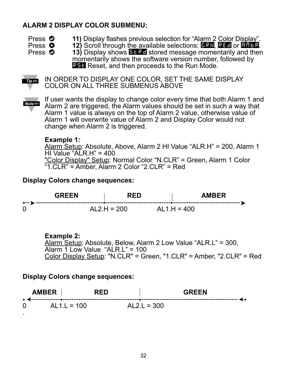### **ALARM 2 DISPLAY COLOR SUBMENU:**

- 
- Press **O** 11) Display flashes previous selection for "Alarm 2 Color Display".<br>Press **O** 12) Scroll through the available selections: **DRR, REC** or **RRF** 
	-
- 

**Press <b>O** 12) Scroll through the available selections: GRN, RED or AMBR.<br>Press **O** 13) Display shows **BERD** stored message momentarily and then **13)** Display shows **EFRE** stored message momentarily and then momentarily shows the software version number, followed by **RST** Reset, and then proceeds to the Run Mode.



IN ORDER TO DISPLAY ONE COLOR, SET THE SAME DISPLAY COLOR ON ALL THREE SUBMENUS ABOVE

**Note <sub>18</sub>** 

If user wants the display to change color every time that both Alarm 1 and Alarm 2 are triggered, the Alarm values should be set in such a way that Alarm 1 value is always on the top of Alarm 2 value, otherwise value of Alarm 1 will overwrite value of Alarm 2 and Display Color would not change when Alarm 2 is triggered.

### **Example 1:**

Alarm Setup: Absolute, Above, Alarm 2 HI Value "ALR.H" = 200, Alarm 1 HI Value "ALR.H" =  $400$ "Color Display" Setup: Normal Color "N.CLR" = Green, Alarm 1 Color "1.CLR" = Amber, Alarm 2 Color "2.CLR" = Red

### **Display Colors change sequences:**



### **Example 2:**

Alarm Setup: Absolute, Below, Alarm 2 Low Value "ALR.L" = 300,  $\overline{$ Alarm 1 Low Value "ALR.L" = 100 Color Display Setup: "N.CLR" = Green, "1.CLR" = Amber, "2.CLR" = Red

### **Display Colors change sequences:**

|                   | AMBER         | RED |               | <b>GREEN</b> |  |
|-------------------|---------------|-----|---------------|--------------|--|
| $0 \qquad \qquad$ | $AL1.L = 100$ |     | $AL2.L = 300$ |              |  |
|                   |               |     |               |              |  |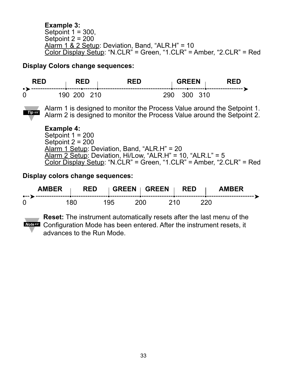**Example 3:** Setpoint  $1 = 300$ . Setpoint 2 = 200 Alarm 1 & 2 Setup: Deviation, Band, "ALR.H" = 10  $\overline{\text{Color Display Setup}}$ : "N.CLR" = Green, "1.CLR" = Amber, "2.CLR" = Red

**Display Colors change sequences:**





Alarm 1 is designed to monitor the Process Value around the Setpoint 1. Alarm 2 is designed to monitor the Process Value around the Setpoint 2.

**Example 4:** Setpoint 1 = 200 Setpoint 2 = 200 Alarm 1 Setup: Deviation, Band, "ALR.H" = 20 Alarm 2 Setup: Deviation, Hi/Low, "ALR.H" = 10, "ALR.L" = 5 Color Display Setup: "N.CLR" = Green, "1.CLR" = Amber, "2.CLR" = Red

**Display colors change sequences:**

| <b>AMRFR</b> |     | <b>RED</b> | GREEN GREEN   RED |      | <b>AMRFR</b> |
|--------------|-----|------------|-------------------|------|--------------|
| 0            | 180 | 195        | 200 L             | 210. | 220.         |

**Reset:** The instrument automatically resets after the last menu of the **Noters** Configuration Mode has been entered. After the instrument resets, it advances to the Run Mode.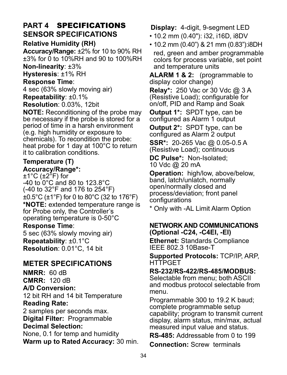### **PART 4** SPECIFICATIONS **SENSOR SPECIFICATIONS**

### **Relative Humidity (RH)**

**Accuracy/Range:** ±2% for 10 to 90% RH ±3% for 0 to 10%RH and 90 to 100%RH **Non-linearity**: ±3%

**Hysteresis**: ±1% RH

### **Response Time**:

4 sec (63% slowly moving air)

**Repeatability**: ±0.1%

**Resolution**: 0.03%, 12bit

**NOTE:** Reconditioning of the probe may be necessary if the probe is stored for a period of time in a harsh environment (e.g. high humidity or exposure to chemicals). To recondition the probe: heat probe for 1 day at 100°C to return it to calibration conditions.

### **Temperature (T) Accuracy/Range\*:**

±1°C (±2°F) for -40 to 0°C and 80 to 123.8°C (-40 to 32°F and 176 to 254°F) ±0.5°C (±1°F) for 0 to 80°C (32 to 176°F) **\*NOTE:** extended temperature range is for Probe only, the Controller's operating temperature is 0-50°C **Response Time**: 5 sec (63% slowly moving air) **Repeatability**: ±0.1°C

**Resolution**: 0.01°C, 14 bit

### **METER SPECIFICATIONS**

**NMRR:** 60 dB **CMRR:** 120 dB **A/D Conversion:** 12 bit RH and 14 bit Temperature **Reading Rate:** 

2 samples per seconds max. **Digital Filter:** Programmable **Decimal Selection:**

# None, 0.1 for temp and humidity

**Warm up to Rated Accuracy:** 30 min.

### **Display:** 4-digit, 9-segment LED

- 10.2 mm (0.40"): i32, i16D, i8DV
- 10.2 mm (0.40") & 21 mm (0.83"):i8DH red, green and amber programmable colors for process variable, set point and temperature units

**ALARM 1 & 2:** (programmable to display color change)

**Relay\*:** 250 Vac or 30 Vdc @ 3 A (Resistive Load); configurable for on/off, PID and Ramp and Soak

**Output 1\*:** SPDT type, can be configured as Alarm 1 output

**Output 2\*:** SPDT type, can be configured as Alarm 2 output

**SSR\*:** 20-265 Vac @ 0.05-0.5 A (Resistive Load); continuous

**DC Pulse\*:** Non-Isolated; 10 Vdc @ 20 mA

**Operation:** high/low, above/below, band, latch/unlatch, normally open/normally closed and process/deviation; front panel configurations

\* Only with -AL Limit Alarm Option

### **NETWORK AND COMMUNICATIONS (Optional -C24, -C4EI, -EI)**

**Ethernet:** Standards Compliance IEEE 802.3 10Base-T

**Supported Protocols:** TCP/IP, ARP, **HTTPGET** 

### **RS-232/RS-422/RS-485/MODBUS:**

Selectable from menu; both ASCII and modbus protocol selectable from menu.

Programmable 300 to 19.2 K baud; complete programmable setup capability; program to transmit current display, alarm status, min/max, actual measured input value and status.

**RS-485:** Addressable from 0 to 199

**Connection:** Screw terminals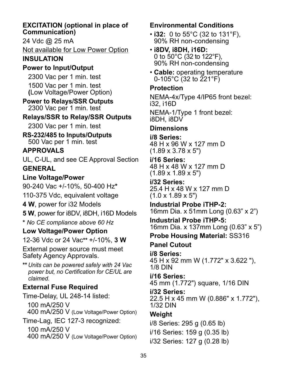### **EXCITATION (optional in place of Communication)**

24 Vdc @ 25 mA

Not available for Low Power Option

### **INSULATION**

### **Power to Input/Output**

2300 Vac per 1 min. test 1500 Vac per 1 min. test **(**Low Voltage/Power Option)

### **Power to Relays/SSR Outputs** 2300 Vac per 1 min. test

### **Relays/SSR to Relay/SSR Outputs**

2300 Vac per 1 min. test

**RS-232/485 to Inputs/Outputs** 500 Vac per 1 min. test

### **APPROVALS**

UL, C-UL, and see CE Approval Section **GENERAL**

### **Line Voltage/Power**

90-240 Vac +/-10%, 50-400 Hz**\***

110-375 Vdc, equivalent voltage

**4 W**, power for i32 Models

**5 W**, power for i8DV, i8DH, i16D Models

*\* No CE compliance above 60 Hz*

### **Low Voltage/Power Option**

12-36 Vdc or 24 Vac*\*\** +/-10%, **3 W**

External power source must meet Safety Agency Approvals.

*\*\* Units can be powered safely with 24 Vac power but, no Certification for CE/UL are claimed.*

### **External Fuse Required**

Time-Delay, UL 248-14 listed: 100 mA/250 V 400 mA/250 V (Low Voltage/Power Option) Time-Lag, IEC 127-3 recognized: 100 mA/250 V

400 mA/250 V (Low Voltage/Power Option)

### **Environmental Conditions**

- **i32:** 0 to 55°C (32 to 131°F), 90% RH non-condensing
- **i8DV, i8DH, i16D:** 0 to 50°C (32 to 122°F), 90% RH non-condensing
- **Cable:** operating temperature 0-105°C (32 to  $221°F$ )

### **Protection**

NEMA-4x/Type 4/IP65 front bezel: i32, i16D

NEMA-1/Type 1 front bezel: i8DH, i8DV

### **Dimensions**

**i/8 Series:**  48 H x 96 W x 127 mm D (1.89 x 3.78 x 5")

### **i/16 Series:**

48 H x 48 W x 127 mm D (1.89 x 1.89 x 5")

## **i/32 Series:**

25.4 H x 48 W x 127 mm D  $(1.0 \times 1.89 \times 5")$ 

### **Industrial Probe iTHP-2:**

16mm Dia. x 51mm Long (0.63" x 2")

**Industrial Probe iTHP-5:** 16mm Dia. x 137mm Long (0.63" x 5")

**Probe Housing Material:** SS316

# **Panel Cutout**

**i/8 Series:** 45 H x 92 mm W (1.772" x 3.622 "), 1/8 DIN

### **i/16 Series:**  45 mm (1.772") square, 1/16 DIN

**i/32 Series:** 

22.5 H x 45 mm W (0.886" x 1.772"), 1/32 DIN

### **Weight**

i/8 Series: 295 g (0.65 lb)

i/16 Series: 159 g (0.35 lb)

i/32 Series: 127 g (0.28 lb)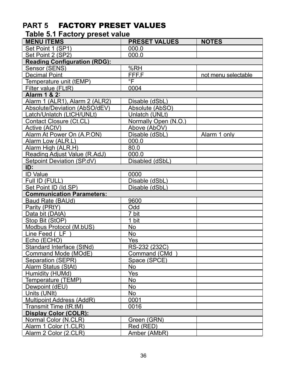### **PART 5** FACTORY PRESET VALUES

### **Table 5.1 Factory preset value**

| <b>MENU ITEMS</b>                   | <b>PRESET VALUES</b> | <b>NOTES</b>        |  |  |  |  |  |  |
|-------------------------------------|----------------------|---------------------|--|--|--|--|--|--|
| Set Point 1 (SP1)                   | 000.0                |                     |  |  |  |  |  |  |
| Set Point 2 (SP2)                   | 000.0                |                     |  |  |  |  |  |  |
| <b>Reading Configuration (RDG):</b> |                      |                     |  |  |  |  |  |  |
| Sensor (SENS)                       | $\overline{\%}$ RH   |                     |  |  |  |  |  |  |
| <b>Decimal Point</b>                | FFF.F                | not menu selectable |  |  |  |  |  |  |
| Temperature unit (tEMP)             | °F                   |                     |  |  |  |  |  |  |
| Filter value (FLtR)                 | 0004                 |                     |  |  |  |  |  |  |
| Alarm 1 & 2:                        |                      |                     |  |  |  |  |  |  |
| Alarm 1 (ALR1), Alarm 2 (ALR2)      | Disable (dSbL)       |                     |  |  |  |  |  |  |
| Absolute/Deviation (AbSO/dEV)       | Absolute (AbSO)      |                     |  |  |  |  |  |  |
| Latch/Unlatch (LtCH/UNLt)           | Unlatch (UNLt)       |                     |  |  |  |  |  |  |
| Contact Closure (Ct.CL)             | Normally Open (N.O.) |                     |  |  |  |  |  |  |
| Active (ACtV)                       | Above (AbOV)         |                     |  |  |  |  |  |  |
| Alarm At Power On (A.P.ON)          | Disable (dSbL)       | Alarm 1 only        |  |  |  |  |  |  |
| Alarm Low (ALR.L)                   | 000.0                |                     |  |  |  |  |  |  |
| Alarm High (ALR.H)                  | 80.0                 |                     |  |  |  |  |  |  |
| Reading Adjust Value (R.AdJ)        | 000.0                |                     |  |  |  |  |  |  |
| Setpoint Deviation (SP.dV)          | Disabled (dSbL)      |                     |  |  |  |  |  |  |
| ID:                                 |                      |                     |  |  |  |  |  |  |
| <b>ID Value</b>                     | 0000                 |                     |  |  |  |  |  |  |
| Full ID (FULL)                      | Disable (dSbL)       |                     |  |  |  |  |  |  |
| Set Point ID (Id.SP)                | Disable (dSbL)       |                     |  |  |  |  |  |  |
| <b>Communication Parameters:</b>    |                      |                     |  |  |  |  |  |  |
| Baud Rate (BAUd)                    | 9600                 |                     |  |  |  |  |  |  |
| Parity (PRtY)                       | Odd                  |                     |  |  |  |  |  |  |
| Data bit (DAtA)                     | 7 bit                |                     |  |  |  |  |  |  |
| Stop Bit (StOP)                     | 1 bit                |                     |  |  |  |  |  |  |
| Modbus Protocol (M.bUS)             | No                   |                     |  |  |  |  |  |  |
| Line Feed (LF                       | <b>No</b>            |                     |  |  |  |  |  |  |
| Echo (ECHO)                         | Yes                  |                     |  |  |  |  |  |  |
| Standard Interface (StNd)           | RS-232 (232C)        |                     |  |  |  |  |  |  |
| Command Mode (MOdE)                 | Command (CMd         |                     |  |  |  |  |  |  |
| Separation (SEPR)                   | Space (SPCE)         |                     |  |  |  |  |  |  |
| Alarm Status (StAt)                 | No                   |                     |  |  |  |  |  |  |
| Humidity (HUMd)                     | Yes                  |                     |  |  |  |  |  |  |
| Temperature (TEMP)                  | No                   |                     |  |  |  |  |  |  |
| Dewpoint (dEU)                      | No                   |                     |  |  |  |  |  |  |
| Units (UNIt)                        | <b>No</b>            |                     |  |  |  |  |  |  |
| Multipoint Address (AddR)           | 0001                 |                     |  |  |  |  |  |  |
| Transmit Time (tR.tM)               | 0016                 |                     |  |  |  |  |  |  |
| <b>Display Color (COLR):</b>        |                      |                     |  |  |  |  |  |  |
| Normal Color (N.CLR)                | Green (GRN)          |                     |  |  |  |  |  |  |
| Alarm 1 Color (1.CLR)               | Red (RED)            |                     |  |  |  |  |  |  |
| Alarm 2 Color (2.CLR)               | Amber (AMbR)         |                     |  |  |  |  |  |  |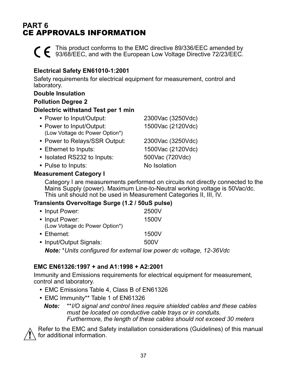### **PART 6** CE APPROVALS INFORMATION

This product conforms to the EMC directive 89/336/EEC amended by 93/68/EEC, and with the European Low Voltage Directive 72/23/EEC.

### **Electrical Safety EN61010-1:2001**

Safety requirements for electrical equipment for measurement, control and laboratory.

### **Double Insulation**

### **Pollution Degree 2**

### **Dielectric withstand Test per 1 min**

| • Power to Input/Output:                                   | 2300Vac (3250Vdc) |
|------------------------------------------------------------|-------------------|
| • Power to Input/Output:<br>(Low Voltage dc Power Option*) | 1500Vac (2120Vdc) |
| • Power to Relays/SSR Output:                              | 2300Vac (3250Vdc) |
| • Ethernet to Inputs:                                      | 1500Vac (2120Vdc) |
| • Isolated RS232 to Inputs:                                | 500Vac (720Vdc)   |
| • Pulse to Inputs:                                         | No Isolation      |
|                                                            |                   |

### **Measurement Category I**

Category I are measurements performed on circuits not directly connected to the Mains Supply (power). Maximum Line-to-Neutral working voltage is 50Vac/dc. This unit should not be used in Measurement Categories II, III, IV.

### **Transients Overvoltage Surge (1.2 / 50uS pulse)**

| • Input Power:                                                             | 2500V |  |
|----------------------------------------------------------------------------|-------|--|
| • Input Power:                                                             | 1500V |  |
| (Low Voltage dc Power Option*)                                             |       |  |
| • Ethernet:                                                                | 1500V |  |
| • Input/Output Signals:                                                    | 500V  |  |
| <b>Note:</b> *Units configured for external low power dc voltage, 12-36Vdc |       |  |

### **EMC EN61326:1997 + and A1:1998 + A2:2001**

Immunity and Emissions requirements for electrical equipment for measurement, control and laboratory.

- **•** EMC Emissions Table 4, Class B of EN61326
- **•** EMC Immunity\*\* Table 1 of EN61326
	- *Note: \*\*I/O signal and control lines require shielded cables and these cables must be located on conductive cable trays or in conduits. Furthermore, the length of these cables should not exceed 30 meters*



Refer to the EMC and Safety installation considerations (Guidelines) of this manual for additional information.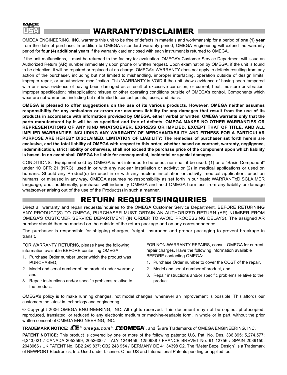

### WARRANTY/DISCLAIMER

OMEGA ENGINEERING, INC. warrants this unit to be free of defects in materials and workmanship for a period of **one (1) year** from the date of purchase. In addition to OMEGA's standard warranty period, OMEGA Engineering will extend the warranty period for **four (4) additional years** if the warranty card enclosed with each instrument is returned to OMEGA.

If the unit malfunctions, it must be returned to the factory for evaluation. OMEGA's Customer Service Department will issue an Authorized Return (AR) number immediately upon phone or written request. Upon examination by OMEGA, if the unit is found to be defective, it will be repaired or replaced at no charge. OMEGA's WARRANTY does not apply to defects resulting from any action of the purchaser, including but not limited to mishandling, improper interfacing, operation outside of design limits, improper repair, or unauthorized modification. This WARRANTY is VOID if the unit shows evidence of having been tampered with or shows evidence of having been damaged as a result of excessive corrosion; or current, heat, moisture or vibration; improper specification; misapplication; misuse or other operating conditions outside of OMEGA's control. Components which wear are not warranted, including but not limited to contact points, fuses, and triacs.

**OMEGA is pleased to offer suggestions on the use of its various products. However, OMEGA neither assumes responsibility for any omissions or errors nor assumes liability for any damages that result from the use of its products in accordance with information provided by OMEGA, either verbal or written. OMEGA warrants only that the parts manufactured by it will be as specified and free of defects. OMEGA MAKES NO OTHER WARRANTIES OR REPRESENTATIONS OF ANY KIND WHATSOEVER, EXPRESS OR IMPLIED, EXCEPT THAT OF TITLE, AND ALL IMPLIED WARRANTIES INCLUDING ANY WARRANTY OF MERCHANTABILITY AND FITNESS FOR A PARTICULAR PURPOSE ARE HEREBY DISCLAIMED. LIMITATION OF LIABILITY: The remedies of purchaser set forth herein are exclusive, and the total liability of OMEGA with respect to this order, whether based on contract, warranty, negligence, indemnification, strict liability or otherwise, shall not exceed the purchase price of the component upon which liability is based. In no event shall OMEGA be liable for consequential, incidental or special damages.**

CONDITIONS: Equipment sold by OMEGA is not intended to be used, nor shall it be used: (1) as a "Basic Component" under 10 CFR 21 (NRC), used in or with any nuclear installation or activity; or (2) in medical applications or used on humans. Should any Product(s) be used in or with any nuclear installation or activity, medical application, used on humans, or misused in any way, OMEGA assumes no responsibility as set forth in our basic WARRANTY/DISCLAIMER language, and, additionally, purchaser will indemnify OMEGA and hold OMEGA harmless from any liability or damage whatsoever arising out of the use of the Product(s) in such a manner.

### RETURN REQUESTS/INQUIRIES

Direct all warranty and repair requests/inquiries to the OMEGA Customer Service Department. BEFORE RETURNING ANY PRODUCT(S) TO OMEGA, PURCHASER MUST OBTAIN AN AUTHORIZED RETURN (AR) NUMBER FROM OMEGA'S CUSTOMER SERVICE DEPARTMENT (IN ORDER TO AVOID PROCESSING DELAYS). The assigned AR number should then be marked on the outside of the return package and on any correspondence.

The purchaser is responsible for shipping charges, freight, insurance and proper packaging to prevent breakage in transit.

FOR WARRANTY RETURNS, please have the following information available BEFORE contacting OMEGA:

- 1. Purchase Order number under which the product was PURCHASED,
- 2. Model and serial number of the product under warranty, and
- 3. Repair instructions and/or specific problems relative to the product.

FOR NON-WARRANTY REPAIRS, consult OMEGA for current repair charges. Have the following information available BEFORE contacting OMEGA:

- 1. Purchase Order number to cover the COST of the repair,
- 2. Model and serial number of product, and
- 3. Repair instructions and/or specific problems relative to the product.

OMEGA's policy is to make running changes, not model changes, whenever an improvement is possible. This affords our customers the latest in technology and engineering.

© Copyright 2006 OMEGA ENGINEERING, INC. All rights reserved. This document may not be copied, photocopied, reproduced, translated, or reduced to any electronic medium or machine-readable form, in whole or in part, without the prior written consent of OMEGA ENGINEERING, INC.

### **TRADEMARK NOTICE:**  $\Omega$  **®,** *omega.com***®,**  $\Omega$  **IOMEGA**˚, and ile are Trademarks of OMEGA ENGINEERING, INC.

**PATENT NOTICE:** This product is covered by one or more of the following patents: U.S. Pat. No. Des. 336,895; 5,274,577; 6,243,021 / CANADA 2052599; 2052600 / ITALY 1249456; 1250938 / FRANCE BREVET No. 91 12756 / SPAIN 2039150; 2048066 / UK PATENT No. GB2 249 837; GB2 248 954 / GERMANY DE 41 34398 C2. The "Meter Bezel Design" is a Trademark of NEWPORT Electronics, Inc. Used under License. Other US and International Patents pending or applied for.